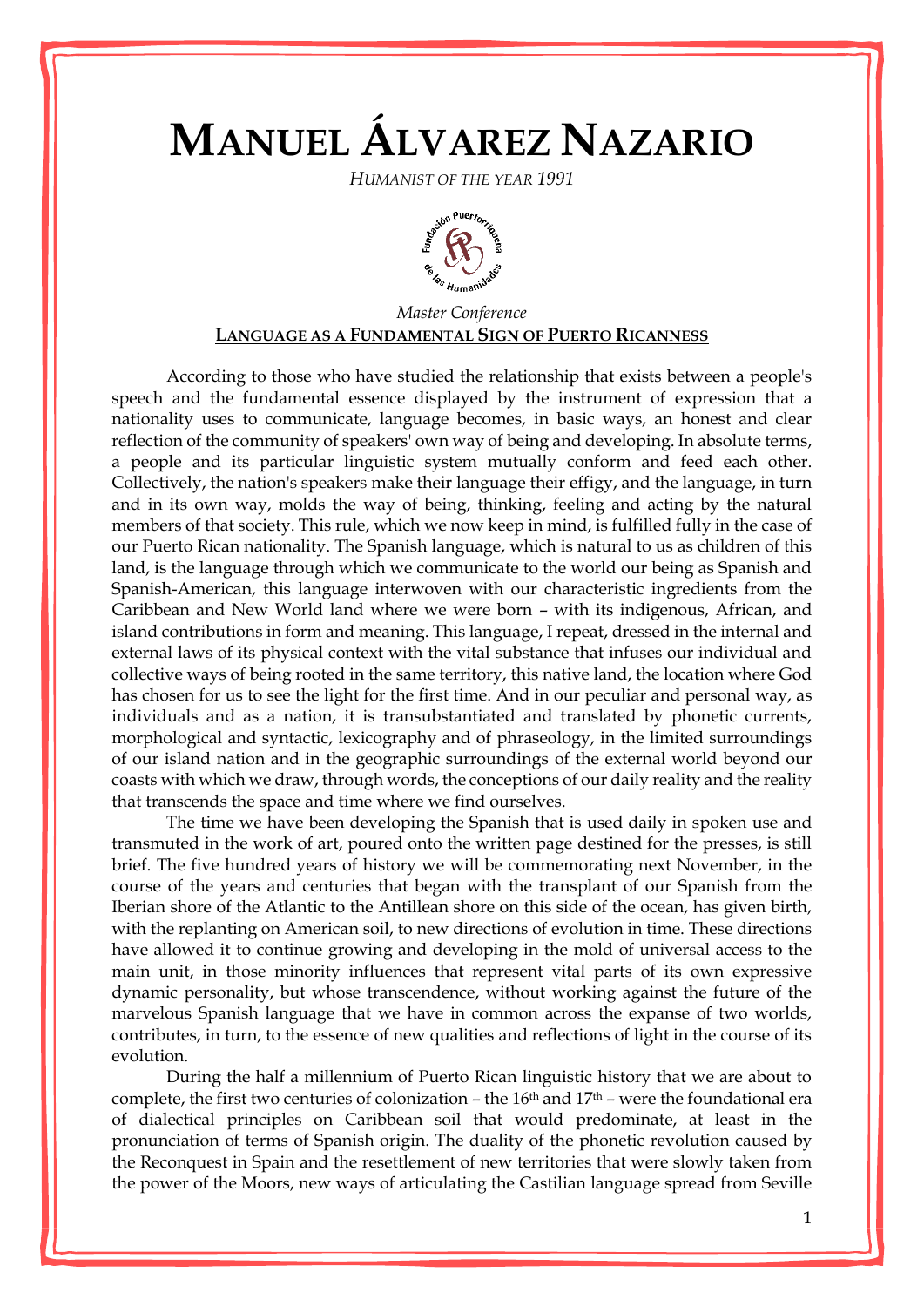## **MANUEL ÁLVAREZ NAZARIO**

*HUMANIST OF THE YEAR 1991*



## *Master Conference* **LANGUAGE AS A FUNDAMENTAL SIGN OF PUERTO RICANNESS**

According to those who have studied the relationship that exists between a people's speech and the fundamental essence displayed by the instrument of expression that a nationality uses to communicate, language becomes, in basic ways, an honest and clear reflection of the community of speakers' own way of being and developing. In absolute terms, a people and its particular linguistic system mutually conform and feed each other. Collectively, the nation's speakers make their language their effigy, and the language, in turn and in its own way, molds the way of being, thinking, feeling and acting by the natural members of that society. This rule, which we now keep in mind, is fulfilled fully in the case of our Puerto Rican nationality. The Spanish language, which is natural to us as children of this land, is the language through which we communicate to the world our being as Spanish and Spanish-American, this language interwoven with our characteristic ingredients from the Caribbean and New World land where we were born – with its indigenous, African, and island contributions in form and meaning. This language, I repeat, dressed in the internal and external laws of its physical context with the vital substance that infuses our individual and collective ways of being rooted in the same territory, this native land, the location where God has chosen for us to see the light for the first time. And in our peculiar and personal way, as individuals and as a nation, it is transubstantiated and translated by phonetic currents, morphological and syntactic, lexicography and of phraseology, in the limited surroundings of our island nation and in the geographic surroundings of the external world beyond our coasts with which we draw, through words, the conceptions of our daily reality and the reality that transcends the space and time where we find ourselves.

The time we have been developing the Spanish that is used daily in spoken use and transmuted in the work of art, poured onto the written page destined for the presses, is still brief. The five hundred years of history we will be commemorating next November, in the course of the years and centuries that began with the transplant of our Spanish from the Iberian shore of the Atlantic to the Antillean shore on this side of the ocean, has given birth, with the replanting on American soil, to new directions of evolution in time. These directions have allowed it to continue growing and developing in the mold of universal access to the main unit, in those minority influences that represent vital parts of its own expressive dynamic personality, but whose transcendence, without working against the future of the marvelous Spanish language that we have in common across the expanse of two worlds, contributes, in turn, to the essence of new qualities and reflections of light in the course of its evolution.

During the half a millennium of Puerto Rican linguistic history that we are about to complete, the first two centuries of colonization – the 16<sup>th</sup> and 17<sup>th</sup> – were the foundational era of dialectical principles on Caribbean soil that would predominate, at least in the pronunciation of terms of Spanish origin. The duality of the phonetic revolution caused by the Reconquest in Spain and the resettlement of new territories that were slowly taken from the power of the Moors, new ways of articulating the Castilian language spread from Seville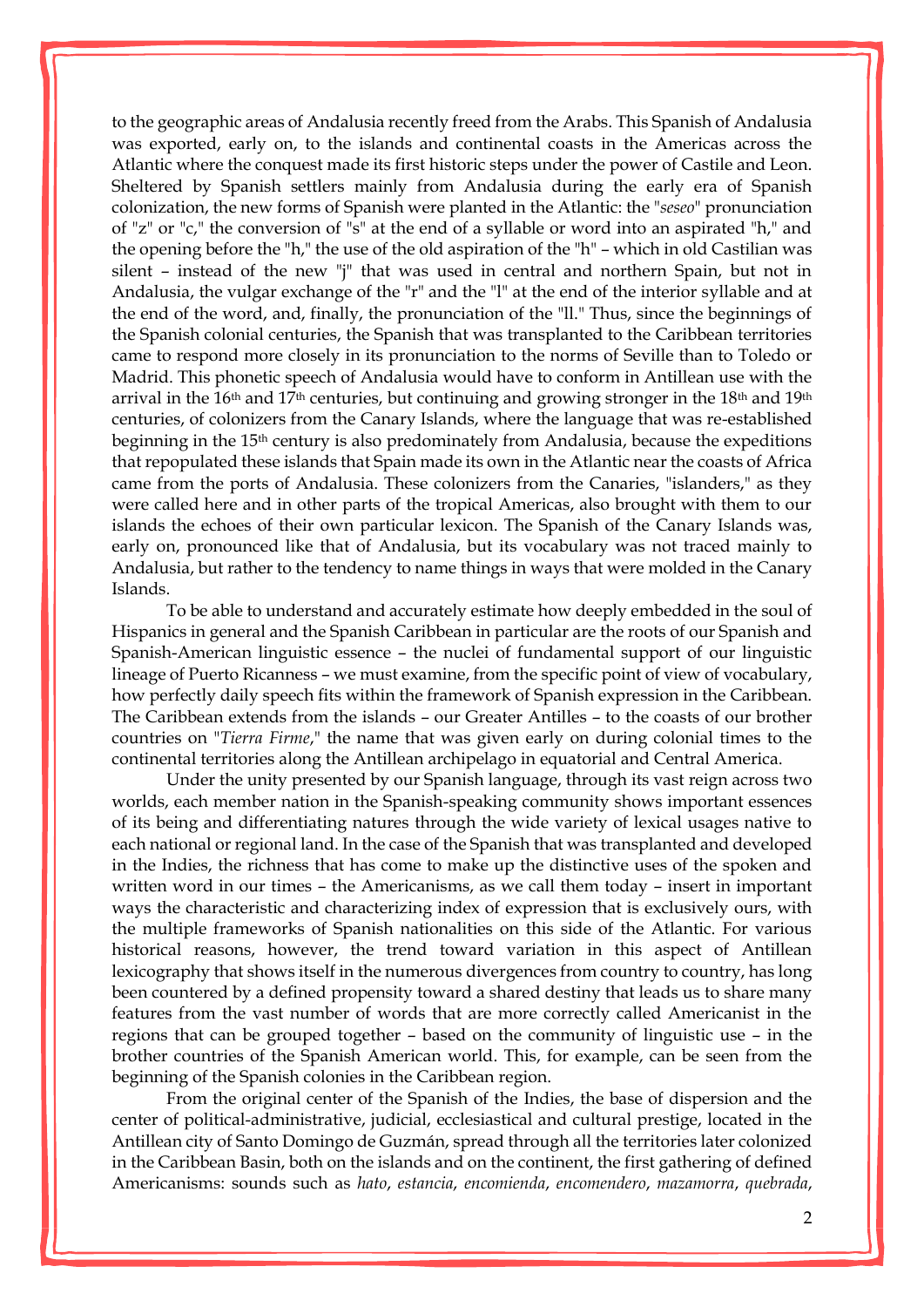to the geographic areas of Andalusia recently freed from the Arabs. This Spanish of Andalusia was exported, early on, to the islands and continental coasts in the Americas across the Atlantic where the conquest made its first historic steps under the power of Castile and Leon. Sheltered by Spanish settlers mainly from Andalusia during the early era of Spanish colonization, the new forms of Spanish were planted in the Atlantic: the "*seseo*" pronunciation of "z" or "c," the conversion of "s" at the end of a syllable or word into an aspirated "h," and the opening before the "h," the use of the old aspiration of the "h" – which in old Castilian was silent – instead of the new "j" that was used in central and northern Spain, but not in Andalusia, the vulgar exchange of the "r" and the "l" at the end of the interior syllable and at the end of the word, and, finally, the pronunciation of the "ll." Thus, since the beginnings of the Spanish colonial centuries, the Spanish that was transplanted to the Caribbean territories came to respond more closely in its pronunciation to the norms of Seville than to Toledo or Madrid. This phonetic speech of Andalusia would have to conform in Antillean use with the arrival in the 16<sup>th</sup> and 17<sup>th</sup> centuries, but continuing and growing stronger in the 18<sup>th</sup> and 19<sup>th</sup> centuries, of colonizers from the Canary Islands, where the language that was re-established beginning in the 15th century is also predominately from Andalusia, because the expeditions that repopulated these islands that Spain made its own in the Atlantic near the coasts of Africa came from the ports of Andalusia. These colonizers from the Canaries, "islanders," as they were called here and in other parts of the tropical Americas, also brought with them to our islands the echoes of their own particular lexicon. The Spanish of the Canary Islands was, early on, pronounced like that of Andalusia, but its vocabulary was not traced mainly to Andalusia, but rather to the tendency to name things in ways that were molded in the Canary Islands.

To be able to understand and accurately estimate how deeply embedded in the soul of Hispanics in general and the Spanish Caribbean in particular are the roots of our Spanish and Spanish-American linguistic essence – the nuclei of fundamental support of our linguistic lineage of Puerto Ricanness – we must examine, from the specific point of view of vocabulary, how perfectly daily speech fits within the framework of Spanish expression in the Caribbean. The Caribbean extends from the islands – our Greater Antilles – to the coasts of our brother countries on "*Tierra Firme*," the name that was given early on during colonial times to the continental territories along the Antillean archipelago in equatorial and Central America.

Under the unity presented by our Spanish language, through its vast reign across two worlds, each member nation in the Spanish-speaking community shows important essences of its being and differentiating natures through the wide variety of lexical usages native to each national or regional land. In the case of the Spanish that was transplanted and developed in the Indies, the richness that has come to make up the distinctive uses of the spoken and written word in our times – the Americanisms, as we call them today – insert in important ways the characteristic and characterizing index of expression that is exclusively ours, with the multiple frameworks of Spanish nationalities on this side of the Atlantic. For various historical reasons, however, the trend toward variation in this aspect of Antillean lexicography that shows itself in the numerous divergences from country to country, has long been countered by a defined propensity toward a shared destiny that leads us to share many features from the vast number of words that are more correctly called Americanist in the regions that can be grouped together – based on the community of linguistic use – in the brother countries of the Spanish American world. This, for example, can be seen from the beginning of the Spanish colonies in the Caribbean region.

From the original center of the Spanish of the Indies, the base of dispersion and the center of political-administrative, judicial, ecclesiastical and cultural prestige, located in the Antillean city of Santo Domingo de Guzmán, spread through all the territories later colonized in the Caribbean Basin, both on the islands and on the continent, the first gathering of defined Americanisms: sounds such as *hato*, *estancia*, *encomienda*, *encomendero*, *mazamorra*, *quebrada*,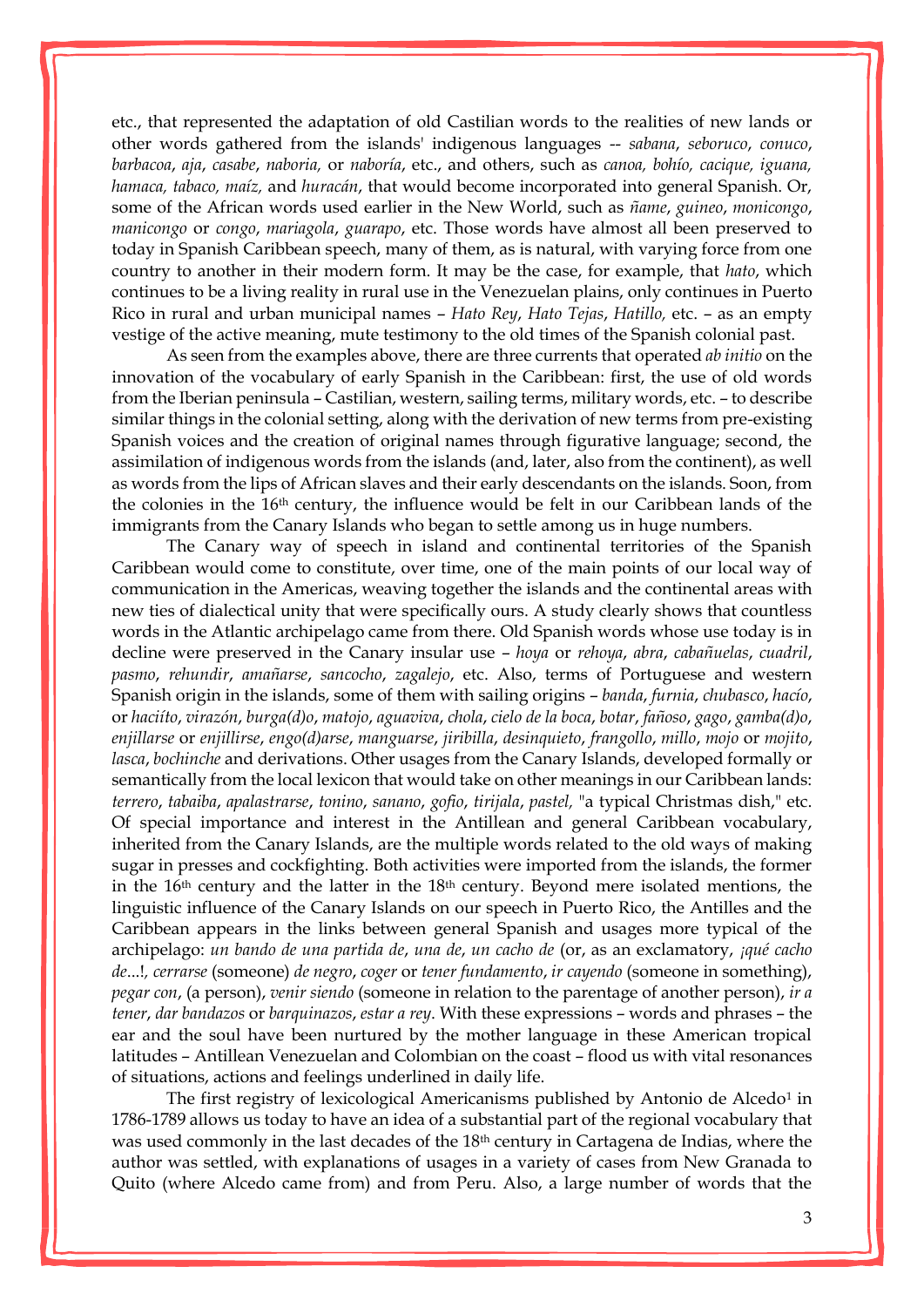etc., that represented the adaptation of old Castilian words to the realities of new lands or other words gathered from the islands' indigenous languages -- *sabana*, *seboruco*, *conuco*, *barbacoa*, *aja*, *casabe*, *naboria,* or *naboría*, etc., and others, such as *canoa, bohío, cacique, iguana, hamaca, tabaco, maíz,* and *huracán*, that would become incorporated into general Spanish. Or, some of the African words used earlier in the New World, such as *ñame*, *guineo*, *monicongo*, *manicongo* or *congo*, *mariagola*, *guarapo*, etc. Those words have almost all been preserved to today in Spanish Caribbean speech, many of them, as is natural, with varying force from one country to another in their modern form. It may be the case, for example, that *hato*, which continues to be a living reality in rural use in the Venezuelan plains, only continues in Puerto Rico in rural and urban municipal names – *Hato Rey*, *Hato Tejas*, *Hatillo,* etc. – as an empty vestige of the active meaning, mute testimony to the old times of the Spanish colonial past.

As seen from the examples above, there are three currents that operated *ab initio* on the innovation of the vocabulary of early Spanish in the Caribbean: first, the use of old words from the Iberian peninsula – Castilian, western, sailing terms, military words, etc. – to describe similar things in the colonial setting, along with the derivation of new terms from pre-existing Spanish voices and the creation of original names through figurative language; second, the assimilation of indigenous words from the islands (and, later, also from the continent), as well as words from the lips of African slaves and their early descendants on the islands. Soon, from the colonies in the 16th century, the influence would be felt in our Caribbean lands of the immigrants from the Canary Islands who began to settle among us in huge numbers.

The Canary way of speech in island and continental territories of the Spanish Caribbean would come to constitute, over time, one of the main points of our local way of communication in the Americas, weaving together the islands and the continental areas with new ties of dialectical unity that were specifically ours. A study clearly shows that countless words in the Atlantic archipelago came from there. Old Spanish words whose use today is in decline were preserved in the Canary insular use – *hoya* or *rehoya*, *abra*, *cabañuelas*, *cuadril*, *pasmo*, *rehundir*, *amañarse*, *sancocho*, *zagalejo*, etc. Also, terms of Portuguese and western Spanish origin in the islands, some of them with sailing origins – *banda*, *furnia*, *chubasco*, *hacío*, or *haciíto*, *virazón*, *burga(d)o*, *matojo*, *aguaviva*, *chola*, *cielo de la boca*, *botar*, *fañoso*, *gago*, *gamba(d)o*, *enjillarse* or *enjillirse*, *engo(d)arse*, *manguarse*, *jiribilla*, *desinquieto*, *frangollo*, *millo*, *mojo* or *mojito*, *lasca*, *bochinche* and derivations. Other usages from the Canary Islands, developed formally or semantically from the local lexicon that would take on other meanings in our Caribbean lands: *terrero*, *tabaiba*, *apalastrarse*, *tonino*, *sanano*, *gofio*, *tirijala*, *pastel,* "a typical Christmas dish," etc. Of special importance and interest in the Antillean and general Caribbean vocabulary, inherited from the Canary Islands, are the multiple words related to the old ways of making sugar in presses and cockfighting. Both activities were imported from the islands, the former in the 16th century and the latter in the 18th century. Beyond mere isolated mentions, the linguistic influence of the Canary Islands on our speech in Puerto Rico, the Antilles and the Caribbean appears in the links between general Spanish and usages more typical of the archipelago: *un bando de una partida de*, *una de*, *un cacho de* (or, as an exclamatory, *¡qué cacho de*...!*, cerrarse* (someone) *de negro*, *coger* or *tener fundamento*, *ir cayendo* (someone in something), *pegar con*, (a person), *venir siendo* (someone in relation to the parentage of another person), *ir a tener*, *dar bandazos* or *barquinazos*, *estar a rey*. With these expressions – words and phrases – the ear and the soul have been nurtured by the mother language in these American tropical latitudes – Antillean Venezuelan and Colombian on the coast – flood us with vital resonances of situations, actions and feelings underlined in daily life.

The first registry of lexicological Americanisms published by Antonio de Alcedo<sup>1</sup> in 1786-1789 allows us today to have an idea of a substantial part of the regional vocabulary that was used commonly in the last decades of the 18th century in Cartagena de Indias, where the author was settled, with explanations of usages in a variety of cases from New Granada to Quito (where Alcedo came from) and from Peru. Also, a large number of words that the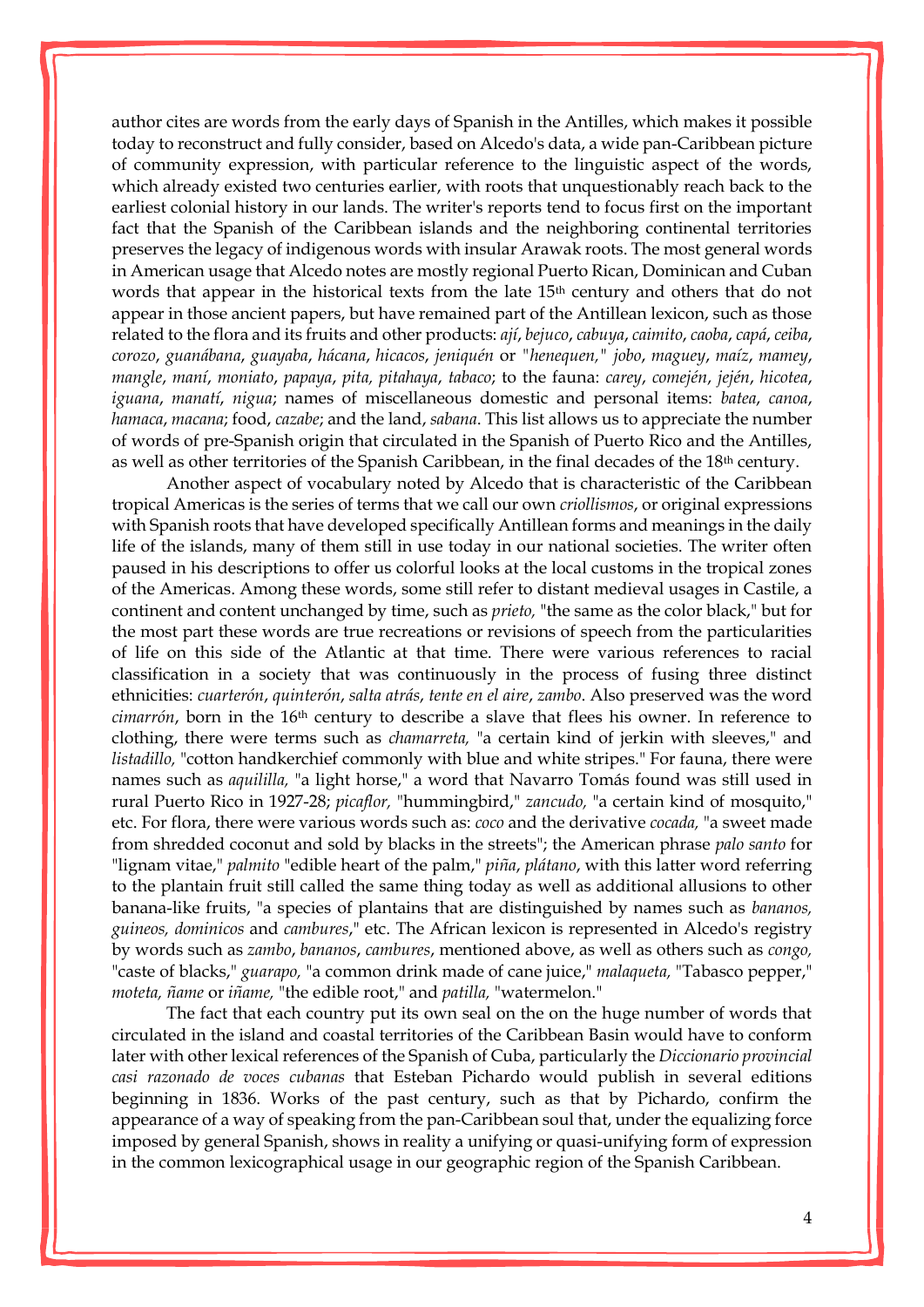author cites are words from the early days of Spanish in the Antilles, which makes it possible today to reconstruct and fully consider, based on Alcedo's data, a wide pan-Caribbean picture of community expression, with particular reference to the linguistic aspect of the words, which already existed two centuries earlier, with roots that unquestionably reach back to the earliest colonial history in our lands. The writer's reports tend to focus first on the important fact that the Spanish of the Caribbean islands and the neighboring continental territories preserves the legacy of indigenous words with insular Arawak roots. The most general words in American usage that Alcedo notes are mostly regional Puerto Rican, Dominican and Cuban words that appear in the historical texts from the late 15<sup>th</sup> century and others that do not appear in those ancient papers, but have remained part of the Antillean lexicon, such as those related to the flora and its fruits and other products: *ají*, *bejuco*, *cabuya*, *caimito*, *caoba*, *capá*, *ceiba*, *corozo*, *guanábana*, *guayaba*, *hácana*, *hicacos*, *jeniquén* or *"henequen," jobo*, *maguey*, *maíz*, *mamey*, *mangle*, *maní*, *moniato*, *papaya*, *pita, pitahaya*, *tabaco*; to the fauna: *carey*, *comején*, *jején*, *hicotea*, *iguana*, *[manatí](http://enciclopediapr.org/ing/article.cfm?ref=07121802)*, *nigua*; names of miscellaneous domestic and personal items: *batea*, *canoa*, *hamaca*, *macana*; food, *cazabe*; and the land, *sabana*. This list allows us to appreciate the number of words of pre-Spanish origin that circulated in the Spanish of Puerto Rico and the Antilles, as well as other territories of the Spanish Caribbean, in the final decades of the 18th century.

Another aspect of vocabulary noted by Alcedo that is characteristic of the Caribbean tropical Americas is the series of terms that we call our own *criollismos*, or original expressions with Spanish roots that have developed specifically Antillean forms and meanings in the daily life of the islands, many of them still in use today in our national societies. The writer often paused in his descriptions to offer us colorful looks at the local customs in the tropical zones of the Americas. Among these words, some still refer to distant medieval usages in Castile, a continent and content unchanged by time, such as *prieto,* "the same as the color black," but for the most part these words are true recreations or revisions of speech from the particularities of life on this side of the Atlantic at that time. There were various references to racial classification in a society that was continuously in the process of fusing three distinct ethnicities: *cuarterón*, *quinterón*, *salta atrás*, *tente en el aire*, *zambo*. Also preserved was the word *cimarrón*, born in the 16th century to describe a slave that flees his owner. In reference to clothing, there were terms such as *chamarreta,* "a certain kind of jerkin with sleeves," and *listadillo,* "cotton handkerchief commonly with blue and white stripes." For fauna, there were names such as *aquililla,* "a light horse," a word that Navarro Tomás found was still used in rural Puerto Rico in 1927-28; *picaflor,* "hummingbird," *zancudo,* "a certain kind of mosquito," etc. For flora, there were various words such as: *coco* and the derivative *cocada,* "a sweet made from shredded coconut and sold by blacks in the streets"; the American phrase *palo santo* for "lignam vitae," *palmito* "edible heart of the palm," *piña*, *plátano*, with this latter word referring to the plantain fruit still called the same thing today as well as additional allusions to other banana-like fruits, "a species of plantains that are distinguished by names such as *bananos, guineos, dominicos* and *cambures*," etc. The African lexicon is represented in Alcedo's registry by words such as *zambo*, *bananos*, *cambures*, mentioned above, as well as others such as *congo,* "caste of blacks," *guarapo,* "a common drink made of cane juice," *malaqueta,* "Tabasco pepper," *moteta, ñame* or *iñame,* "the edible root," and *patilla,* "watermelon."

The fact that each country put its own seal on the on the huge number of words that circulated in the island and coastal territories of the Caribbean Basin would have to conform later with other lexical references of the Spanish of Cuba, particularly the *Diccionario provincial casi razonado de voces cubanas* that Esteban Pichardo would publish in several editions beginning in 1836. Works of the past century, such as that by Pichardo, confirm the appearance of a way of speaking from the pan-Caribbean soul that, under the equalizing force imposed by general Spanish, shows in reality a unifying or quasi-unifying form of expression in the common lexicographical usage in our geographic region of the Spanish Caribbean.